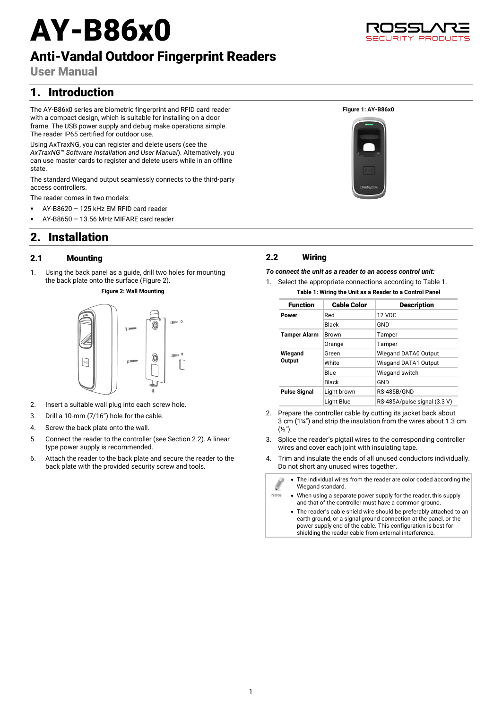# AY-B86x0

# Anti-Vandal Outdoor Fingerprint Readers

User Manual

# 1. Introduction

The AY-B86x0 series are biometric fingerprint and RFID card reader with a compact design, which is suitable for installing on a door frame. The USB power supply and debug make operations simple. The reader IP65 certified for outdoor use.

Using AxTraxNG, you can register and delete users (see the *AxTraxNG™ Software Installation and User Manual*). Alternatively, you can use master cards to register and delete users while in an offline state.

The standard Wiegand output seamlessly connects to the third-party access controllers.

The reader comes in two models:

- AY-B8620 125 kHz EM RFID card reader
- AY-B8650 13.56 MHz MIFARE card reader

## 2. Installation

## 2.1 Mounting

<span id="page-0-0"></span>1. Using the back panel as a guide, drill two holes for mounting the back plate onto the surface [\(Figure 2\)](#page-0-0).

#### **Figure 2: Wall Mounting**



- 2. Insert a suitable wall plug into each screw hole.
- 3. Drill a 10-mm (7/16") hole for the cable.
- 4. Screw the back plate onto the wall.
- 5. Connect the reader to the controller (see Section [2.2\)](#page-0-1). A linear type power supply is recommended.
- <span id="page-0-1"></span>6. Attach the reader to the back plate and secure the reader to the back plate with the provided security screw and tools.

## 2.2 Wiring

*To connect the unit as a reader to an access control unit:*

- <span id="page-0-2"></span>1. Select the appropriate connections according t[o Table 1.](#page-0-2)
	- **Table 1: Wiring the Unit as a Reader to a Control Panel**

| <b>Function</b>     | <b>Cable Color</b> | <b>Description</b>           |
|---------------------|--------------------|------------------------------|
| Power               | Red                | 12 VDC                       |
|                     | Black              | GND                          |
| Tamper Alarm        | <b>Brown</b>       | Tamper                       |
|                     | Orange             | Tamper                       |
| Wiegand<br>Output   | Green              | <b>Wiegand DATA0 Output</b>  |
|                     | White              | <b>Wiegand DATA1 Output</b>  |
|                     | Blue               | Wiegand switch               |
|                     | Black              | GND                          |
| <b>Pulse Signal</b> | Light brown        | RS-485B/GND                  |
|                     | Light Blue         | RS-485A/pulse signal (3.3 V) |

- 2. Prepare the controller cable by cutting its jacket back about 3 cm (1¼") and strip the insulation from the wires about 1.3 cm  $($  1/2 $"$ )
- 3. Splice the reader's pigtail wires to the corresponding controller wires and cover each joint with insulating tape.
- 4. Trim and insulate the ends of all unused conductors individually. Do not short any unused wires together.
- The individual wires from the reader are color coded according the Wiegand standard. Note • When using a separate power supply for the reader, this supply and that of the controller must have a common ground. • The reader's cable shield wire should be preferably attached to an earth ground, or a signal ground connection at the panel, or the
	- power supply end of the cable. This configuration is best for shielding the reader cable from external interference.



**Figure 1: AY-B86x0**

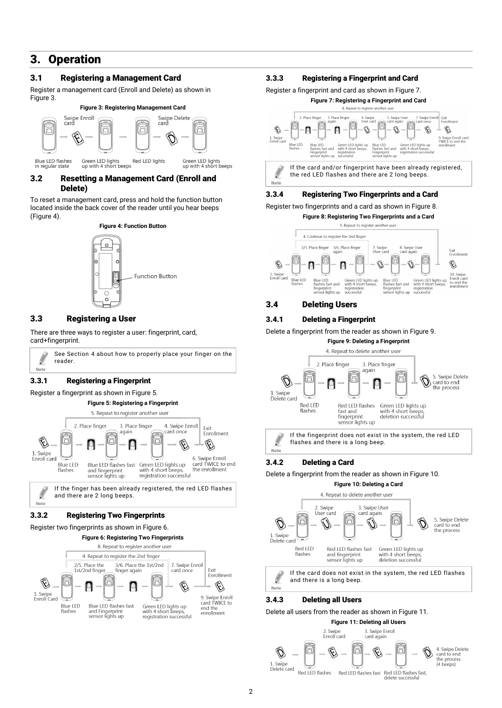# 3. Operation

## 3.1 Registering a Management Card

Register a management card (Enroll and Delete) as shown in [Figure](#page-1-0) 3.

#### **Figure 3: Registering Management Card**

<span id="page-1-0"></span>

#### 3.2 Resetting a Management Card (Enroll and Delete)

<span id="page-1-1"></span>To reset a management card, press and hold the function button located inside the back cover of the reader until you hear beeps [\(Figure 4\)](#page-1-1).



### 3.3 Registering a User

There are three ways to register a user: fingerprint, card, card+fingerprint.

|      | See Section 4 about how to properly place your finger on the<br>reader. |
|------|-------------------------------------------------------------------------|
| Note |                                                                         |

### 3.3.1 Registering a Fingerprint

<span id="page-1-2"></span>Register a fingerprint as shown i[n Figure 5.](#page-1-2)

## **Figure 5: Registering a Fingerprint** 5. Repeat to register another user



### 3.3.2 Registering Two Fingerprints

Note

Register two fingerprints as shown i[n Figure 6.](#page-1-3)

## **Figure 6: Registering Two Fingerprints**

<span id="page-1-3"></span>

#### 3.3.3 Registering a Fingerprint and Card

Register a fingerprint and card as shown i[n Figure 7.](#page-1-4)

<span id="page-1-4"></span>

#### 3.3.4 Registering Two Fingerprints and a Card

#### Register two fingerprints and a card as shown i[n Figure 8.](#page-1-5)

<span id="page-1-5"></span>

### 3.4 Deleting Users

#### 3.4.1 Deleting a Fingerprint

Delete a fingerprint from the reader as shown i[n Figure 9.](#page-1-6)

<span id="page-1-6"></span>

flashes and there is a long beep. Note

#### 3.4.2 Deleting a Card

Delete a fingerprint from the reader as shown i[n Figure 10.](#page-1-7)

<span id="page-1-7"></span>

#### 3.4.3 Deleting all Users

Delete all users from the reader as shown in [Figure 11.](#page-1-8)

#### **Figure 11: Deleting all Users**

<span id="page-1-8"></span>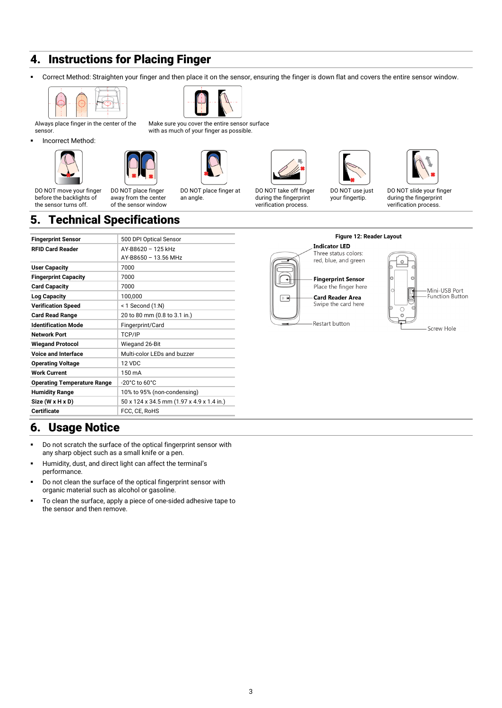## <span id="page-2-0"></span>4. Instructions for Placing Finger

Correct Method: Straighten your finger and then place it on the sensor, ensuring the finger is down flat and covers the entire sensor window.



Always place finger in the center of the sensor.

**-** Incorrect Method:





DO NOT move your finger before the backlights of the sensor turns off.

DO NOT place finger away from the center of the sensor window

DO NOT place finger at an angle.

Make sure you cover the entire sensor surface with as much of your finger as possible.







DO NOT take off finger during the fingerprint verification process.

DO NOT use just your fingertip.

DO NOT slide your finger during the fingerprint verification process.

## 5. Technical Specifications

| <b>Fingerprint Sensor</b>          | 500 DPI Optical Sensor                    |
|------------------------------------|-------------------------------------------|
| <b>REID Card Reader</b>            | AY-B8620 - 125 kHz                        |
|                                    | AY-B8650 - 13.56 MHz                      |
| <b>User Capacity</b>               | 7000                                      |
| <b>Fingerprint Capacity</b>        | 7000                                      |
| <b>Card Capacity</b>               | 7000                                      |
| <b>Log Capacity</b>                | 100,000                                   |
| <b>Verification Speed</b>          | < 1 Second (1:N)                          |
| <b>Card Read Range</b>             | 20 to 80 mm (0.8 to 3.1 in.)              |
| <b>Identification Mode</b>         | Fingerprint/Card                          |
| Network Port                       | TCP/IP                                    |
| <b>Wiegand Protocol</b>            | Wiegand 26-Bit                            |
| <b>Voice and Interface</b>         | Multi-color LEDs and buzzer               |
| <b>Operating Voltage</b>           | 12 VDC                                    |
| <b>Work Current</b>                | 150 mA                                    |
| <b>Operating Temperature Range</b> | -20°C to 60°C                             |
| <b>Humidity Range</b>              | 10% to 95% (non-condensing)               |
| Size (W x H x D)                   | 50 x 124 x 34.5 mm (1.97 x 4.9 x 1.4 in.) |
| <b>Certificate</b>                 | FCC, CE, RoHS                             |
|                                    |                                           |

# **Indicator LED** Three status colors: red, blue, and green

 $(1 - 1)$ 





6. Usage Notice

- **Do not scratch the surface of the optical fingerprint sensor with** any sharp object such as a small knife or a pen.
- Humidity, dust, and direct light can affect the terminal's performance.
- Do not clean the surface of the optical fingerprint sensor with organic material such as alcohol or gasoline.
- To clean the surface, apply a piece of one-sided adhesive tape to the sensor and then remove.